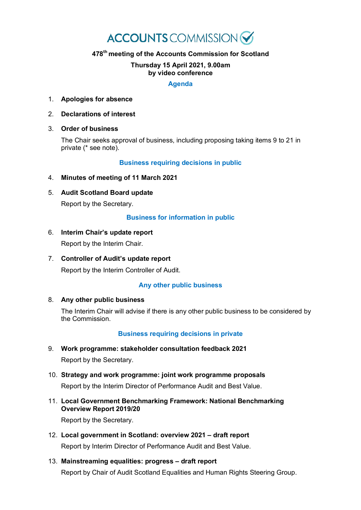# **ACCOUNTS** COMMISSION

# **478th meeting of the Accounts Commission for Scotland**

#### **Thursday 15 April 2021, 9.00am by video conference**

# **Agenda**

- 1. **Apologies for absence**
- 2. **Declarations of interest**

# 3. **Order of business**

The Chair seeks approval of business, including proposing taking items 9 to 21 in private (\* see note).

# **Business requiring decisions in public**

- 4. **Minutes of meeting of 11 March 2021**
- 5. **Audit Scotland Board update**

Report by the Secretary.

# **Business for information in public**

# 6. **Interim Chair's update report**

Report by the Interim Chair.

7. **Controller of Audit's update report**

Report by the Interim Controller of Audit.

# **Any other public business**

# 8. **Any other public business**

The Interim Chair will advise if there is any other public business to be considered by the Commission.

# **Business requiring decisions in private**

9. **Work programme: stakeholder consultation feedback 2021**

Report by the Secretary.

- 10. **Strategy and work programme: joint work programme proposals** Report by the Interim Director of Performance Audit and Best Value.
- 11. **Local Government Benchmarking Framework: National Benchmarking Overview Report 2019/20**

Report by the Secretary.

12. **Local government in Scotland: overview 2021 – draft report**

Report by Interim Director of Performance Audit and Best Value.

13. **Mainstreaming equalities: progress – draft report** Report by Chair of Audit Scotland Equalities and Human Rights Steering Group.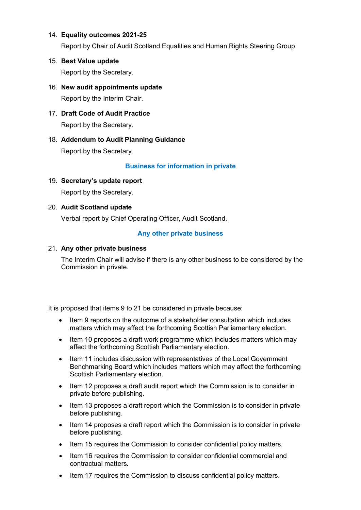# 14. **Equality outcomes 2021-25**

Report by Chair of Audit Scotland Equalities and Human Rights Steering Group.

15. **Best Value update**

Report by the Secretary.

- 16. **New audit appointments update** Report by the Interim Chair.
- 17. **Draft Code of Audit Practice** Report by the Secretary.
- 18. **Addendum to Audit Planning Guidance** Report by the Secretary.

# **Business for information in private**

19. **Secretary's update report** Report by the Secretary.

# 20. **Audit Scotland update**

Verbal report by Chief Operating Officer, Audit Scotland.

# **Any other private business**

# 21. **Any other private business**

The Interim Chair will advise if there is any other business to be considered by the Commission in private.

It is proposed that items 9 to 21 be considered in private because:

- Item 9 reports on the outcome of a stakeholder consultation which includes matters which may affect the forthcoming Scottish Parliamentary election.
- Item 10 proposes a draft work programme which includes matters which may affect the forthcoming Scottish Parliamentary election.
- Item 11 includes discussion with representatives of the Local Government Benchmarking Board which includes matters which may affect the forthcoming Scottish Parliamentary election.
- Item 12 proposes a draft audit report which the Commission is to consider in private before publishing.
- Item 13 proposes a draft report which the Commission is to consider in private before publishing.
- Item 14 proposes a draft report which the Commission is to consider in private before publishing.
- Item 15 requires the Commission to consider confidential policy matters.
- Item 16 requires the Commission to consider confidential commercial and contractual matters.
- Item 17 requires the Commission to discuss confidential policy matters.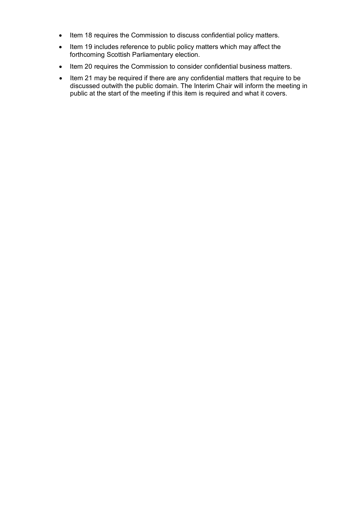- Item 18 requires the Commission to discuss confidential policy matters.
- Item 19 includes reference to public policy matters which may affect the forthcoming Scottish Parliamentary election.
- Item 20 requires the Commission to consider confidential business matters.
- Item 21 may be required if there are any confidential matters that require to be discussed outwith the public domain. The Interim Chair will inform the meeting in public at the start of the meeting if this item is required and what it covers.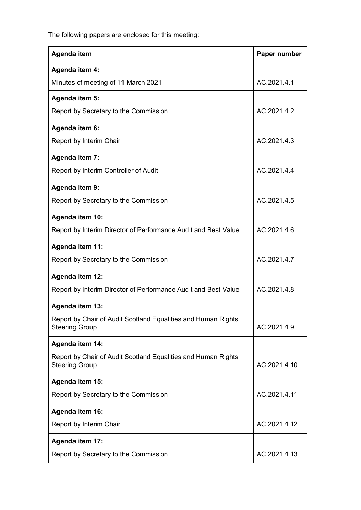The following papers are enclosed for this meeting:

| Agenda item                                                                            | Paper number |
|----------------------------------------------------------------------------------------|--------------|
| <b>Agenda item 4:</b>                                                                  |              |
| Minutes of meeting of 11 March 2021                                                    | AC.2021.4.1  |
| <b>Agenda item 5:</b>                                                                  |              |
| Report by Secretary to the Commission                                                  | AC.2021.4.2  |
| Agenda item 6:                                                                         |              |
| Report by Interim Chair                                                                | AC.2021.4.3  |
| <b>Agenda item 7:</b>                                                                  |              |
| Report by Interim Controller of Audit                                                  | AC.2021.4.4  |
| <b>Agenda item 9:</b>                                                                  |              |
| Report by Secretary to the Commission                                                  | AC.2021.4.5  |
| Agenda item 10:                                                                        |              |
| Report by Interim Director of Performance Audit and Best Value                         | AC.2021.4.6  |
| <b>Agenda item 11:</b>                                                                 |              |
| Report by Secretary to the Commission                                                  | AC.2021.4.7  |
| <b>Agenda item 12:</b>                                                                 |              |
| Report by Interim Director of Performance Audit and Best Value                         | AC.2021.4.8  |
| <b>Agenda item 13:</b>                                                                 |              |
| Report by Chair of Audit Scotland Equalities and Human Rights<br><b>Steering Group</b> | AC.2021.4.9  |
| <b>Agenda item 14:</b>                                                                 |              |
| Report by Chair of Audit Scotland Equalities and Human Rights<br><b>Steering Group</b> | AC.2021.4.10 |
| Agenda item 15:                                                                        |              |
| Report by Secretary to the Commission                                                  | AC.2021.4.11 |
| <b>Agenda item 16:</b>                                                                 |              |
| Report by Interim Chair                                                                | AC.2021.4.12 |
| <b>Agenda item 17:</b>                                                                 |              |
| Report by Secretary to the Commission                                                  | AC.2021.4.13 |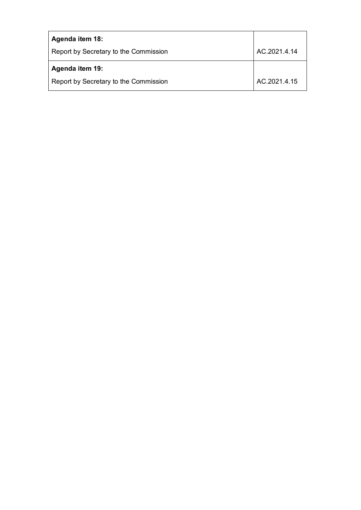| Agenda item 18:                       |              |
|---------------------------------------|--------------|
| Report by Secretary to the Commission | AC.2021.4.14 |
| Agenda item 19:                       |              |
| Report by Secretary to the Commission | AC.2021.4.15 |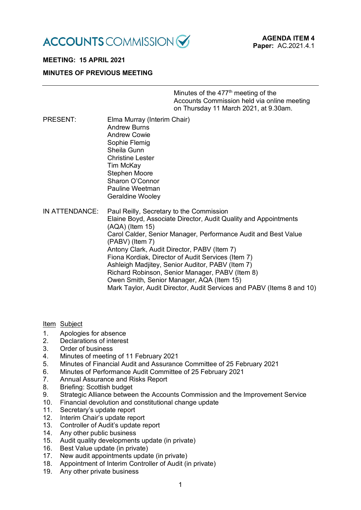

# **MEETING: 15 APRIL 2021**

# **MINUTES OF PREVIOUS MEETING**

Minutes of the  $477<sup>th</sup>$  meeting of the Accounts Commission held via online meeting on Thursday 11 March 2021, at 9.30am.

PRESENT: Elma Murray (Interim Chair) Andrew Burns Andrew Cowie Sophie Flemig Sheila Gunn Christine Lester Tim McKay Stephen Moore Sharon O'Connor Pauline Weetman Geraldine Wooley

IN ATTENDANCE: Paul Reilly, Secretary to the Commission Elaine Boyd, Associate Director, Audit Quality and Appointments (AQA) (Item 15) Carol Calder, Senior Manager, Performance Audit and Best Value (PABV) (Item 7) Antony Clark, Audit Director, PABV (Item 7) Fiona Kordiak, Director of Audit Services (Item 7) Ashleigh Madiitey, Senior Auditor, PABV (Item 7) Richard Robinson, Senior Manager, PABV (Item 8) Owen Smith, Senior Manager, AQA (Item 15) Mark Taylor, Audit Director, Audit Services and PABV (Items 8 and 10)

#### Item Subject

- 1. Apologies for absence
- 2. Declarations of interest
- 3. Order of business
- 4. Minutes of meeting of 11 February 2021
- 5. Minutes of Financial Audit and Assurance Committee of 25 February 2021
- 6. Minutes of Performance Audit Committee of 25 February 2021
- 7. Annual Assurance and Risks Report
- 8. Briefing: Scottish budget
- 9. Strategic Alliance between the Accounts Commission and the Improvement Service
- 10. Financial devolution and constitutional change update
- 11. Secretary's update report
- 12. Interim Chair's update report
- 13. Controller of Audit's update report
- 14. Any other public business
- 15. Audit quality developments update (in private)
- 16. Best Value update (in private)
- 17. New audit appointments update (in private)
- 18. Appointment of Interim Controller of Audit (in private)
- 19. Any other private business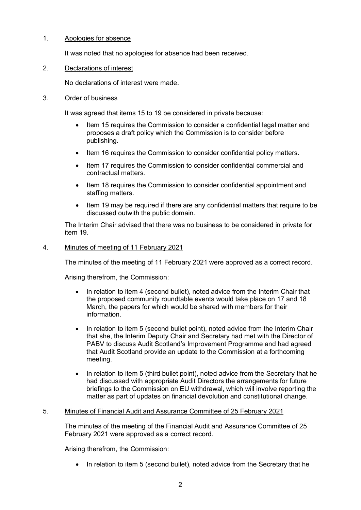# 1. Apologies for absence

It was noted that no apologies for absence had been received.

# 2. Declarations of interest

No declarations of interest were made.

# 3. Order of business

It was agreed that items 15 to 19 be considered in private because:

- Item 15 requires the Commission to consider a confidential legal matter and proposes a draft policy which the Commission is to consider before publishing.
- Item 16 requires the Commission to consider confidential policy matters.
- Item 17 requires the Commission to consider confidential commercial and contractual matters.
- Item 18 requires the Commission to consider confidential appointment and staffing matters.
- Item 19 may be required if there are any confidential matters that require to be discussed outwith the public domain.

The Interim Chair advised that there was no business to be considered in private for item 19.

# 4. Minutes of meeting of 11 February 2021

The minutes of the meeting of 11 February 2021 were approved as a correct record.

Arising therefrom, the Commission:

- In relation to item 4 (second bullet), noted advice from the Interim Chair that the proposed community roundtable events would take place on 17 and 18 March, the papers for which would be shared with members for their information.
- In relation to item 5 (second bullet point), noted advice from the Interim Chair that she, the Interim Deputy Chair and Secretary had met with the Director of PABV to discuss Audit Scotland's Improvement Programme and had agreed that Audit Scotland provide an update to the Commission at a forthcoming meeting.
- In relation to item 5 (third bullet point), noted advice from the Secretary that he had discussed with appropriate Audit Directors the arrangements for future briefings to the Commission on EU withdrawal, which will involve reporting the matter as part of updates on financial devolution and constitutional change.

# 5. Minutes of Financial Audit and Assurance Committee of 25 February 2021

The minutes of the meeting of the Financial Audit and Assurance Committee of 25 February 2021 were approved as a correct record.

Arising therefrom, the Commission:

• In relation to item 5 (second bullet), noted advice from the Secretary that he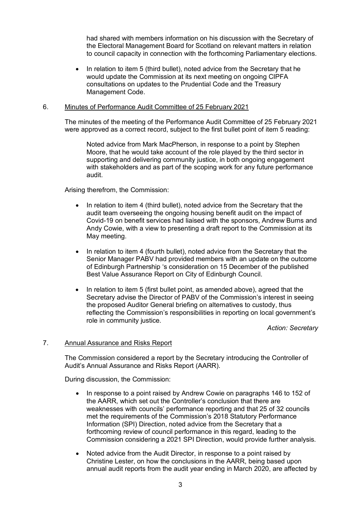had shared with members information on his discussion with the Secretary of the Electoral Management Board for Scotland on relevant matters in relation to council capacity in connection with the forthcoming Parliamentary elections.

• In relation to item 5 (third bullet), noted advice from the Secretary that he would update the Commission at its next meeting on ongoing CIPFA consultations on updates to the Prudential Code and the Treasury Management Code.

#### 6. Minutes of Performance Audit Committee of 25 February 2021

The minutes of the meeting of the Performance Audit Committee of 25 February 2021 were approved as a correct record, subject to the first bullet point of item 5 reading:

Noted advice from Mark MacPherson, in response to a point by Stephen Moore, that he would take account of the role played by the third sector in supporting and delivering community justice, in both ongoing engagement with stakeholders and as part of the scoping work for any future performance audit.

#### Arising therefrom, the Commission:

- In relation to item 4 (third bullet), noted advice from the Secretary that the audit team overseeing the ongoing housing benefit audit on the impact of Covid-19 on benefit services had liaised with the sponsors, Andrew Burns and Andy Cowie, with a view to presenting a draft report to the Commission at its May meeting.
- In relation to item 4 (fourth bullet), noted advice from the Secretary that the Senior Manager PABV had provided members with an update on the outcome of Edinburgh Partnership 's consideration on 15 December of the published Best Value Assurance Report on City of Edinburgh Council.
- In relation to item 5 (first bullet point, as amended above), agreed that the Secretary advise the Director of PABV of the Commission's interest in seeing the proposed Auditor General briefing on alternatives to custody, thus reflecting the Commission's responsibilities in reporting on local government's role in community justice.

*Action: Secretary*

### 7. Annual Assurance and Risks Report

The Commission considered a report by the Secretary introducing the Controller of Audit's Annual Assurance and Risks Report (AARR).

During discussion, the Commission:

- In response to a point raised by Andrew Cowie on paragraphs 146 to 152 of the AARR, which set out the Controller's conclusion that there are weaknesses with councils' performance reporting and that 25 of 32 councils met the requirements of the Commission's 2018 Statutory Performance Information (SPI) Direction, noted advice from the Secretary that a forthcoming review of council performance in this regard, leading to the Commission considering a 2021 SPI Direction, would provide further analysis.
- Noted advice from the Audit Director, in response to a point raised by Christine Lester, on how the conclusions in the AARR, being based upon annual audit reports from the audit year ending in March 2020, are affected by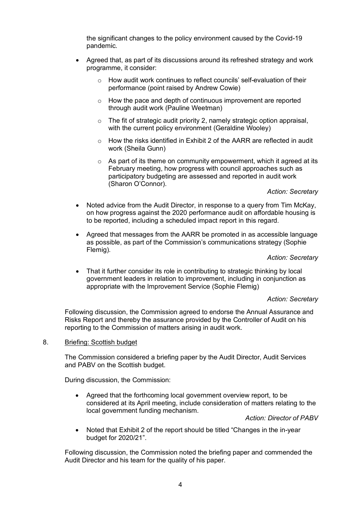the significant changes to the policy environment caused by the Covid-19 pandemic.

- Agreed that, as part of its discussions around its refreshed strategy and work programme, it consider:
	- o How audit work continues to reflect councils' self-evaluation of their performance (point raised by Andrew Cowie)
	- o How the pace and depth of continuous improvement are reported through audit work (Pauline Weetman)
	- $\circ$  The fit of strategic audit priority 2, namely strategic option appraisal, with the current policy environment (Geraldine Wooley)
	- o How the risks identified in Exhibit 2 of the AARR are reflected in audit work (Sheila Gunn)
	- $\circ$  As part of its theme on community empowerment, which it agreed at its February meeting, how progress with council approaches such as participatory budgeting are assessed and reported in audit work (Sharon O'Connor).

#### *Action: Secretary*

- Noted advice from the Audit Director, in response to a query from Tim McKay, on how progress against the 2020 performance audit on affordable housing is to be reported, including a scheduled impact report in this regard.
- Agreed that messages from the AARR be promoted in as accessible language as possible, as part of the Commission's communications strategy (Sophie Flemig).

*Action: Secretary*

• That it further consider its role in contributing to strategic thinking by local government leaders in relation to improvement, including in conjunction as appropriate with the Improvement Service (Sophie Flemig)

#### *Action: Secretary*

Following discussion, the Commission agreed to endorse the Annual Assurance and Risks Report and thereby the assurance provided by the Controller of Audit on his reporting to the Commission of matters arising in audit work.

8. Briefing: Scottish budget

The Commission considered a briefing paper by the Audit Director, Audit Services and PABV on the Scottish budget.

During discussion, the Commission:

• Agreed that the forthcoming local government overview report, to be considered at its April meeting, include consideration of matters relating to the local government funding mechanism.

*Action: Director of PABV*

• Noted that Exhibit 2 of the report should be titled "Changes in the in-year budget for 2020/21".

Following discussion, the Commission noted the briefing paper and commended the Audit Director and his team for the quality of his paper.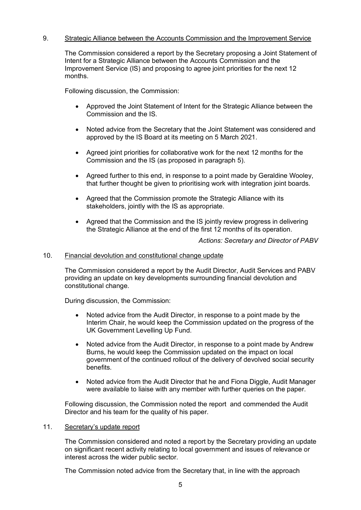# 9. Strategic Alliance between the Accounts Commission and the Improvement Service

The Commission considered a report by the Secretary proposing a Joint Statement of Intent for a Strategic Alliance between the Accounts Commission and the Improvement Service (IS) and proposing to agree joint priorities for the next 12 months.

Following discussion, the Commission:

- Approved the Joint Statement of Intent for the Strategic Alliance between the Commission and the IS.
- Noted advice from the Secretary that the Joint Statement was considered and approved by the IS Board at its meeting on 5 March 2021.
- Agreed joint priorities for collaborative work for the next 12 months for the Commission and the IS (as proposed in paragraph 5).
- Agreed further to this end, in response to a point made by Geraldine Wooley, that further thought be given to prioritising work with integration joint boards.
- Agreed that the Commission promote the Strategic Alliance with its stakeholders, jointly with the IS as appropriate.
- Agreed that the Commission and the IS jointly review progress in delivering the Strategic Alliance at the end of the first 12 months of its operation.

*Actions: Secretary and Director of PABV*

#### 10. Financial devolution and constitutional change update

The Commission considered a report by the Audit Director, Audit Services and PABV providing an update on key developments surrounding financial devolution and constitutional change.

During discussion, the Commission:

- Noted advice from the Audit Director, in response to a point made by the Interim Chair, he would keep the Commission updated on the progress of the UK Government Levelling Up Fund.
- Noted advice from the Audit Director, in response to a point made by Andrew Burns, he would keep the Commission updated on the impact on local government of the continued rollout of the delivery of devolved social security benefits.
- Noted advice from the Audit Director that he and Fiona Diggle, Audit Manager were available to liaise with any member with further queries on the paper.

Following discussion, the Commission noted the report and commended the Audit Director and his team for the quality of his paper.

#### 11. Secretary's update report

The Commission considered and noted a report by the Secretary providing an update on significant recent activity relating to local government and issues of relevance or interest across the wider public sector.

The Commission noted advice from the Secretary that, in line with the approach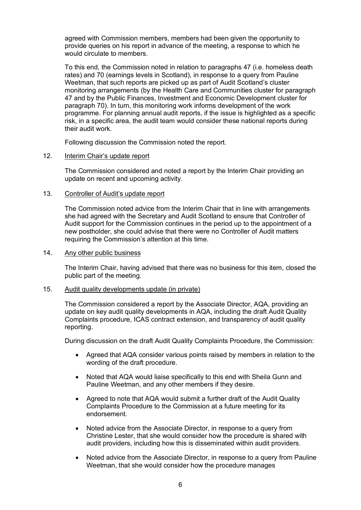agreed with Commission members, members had been given the opportunity to provide queries on his report in advance of the meeting, a response to which he would circulate to members.

To this end, the Commission noted in relation to paragraphs 47 (i.e. homeless death rates) and 70 (earnings levels in Scotland), in response to a query from Pauline Weetman, that such reports are picked up as part of Audit Scotland's cluster monitoring arrangements (by the Health Care and Communities cluster for paragraph 47 and by the Public Finances, Investment and Economic Development cluster for paragraph 70). In turn, this monitoring work informs development of the work programme. For planning annual audit reports, if the issue is highlighted as a specific risk, in a specific area, the audit team would consider these national reports during their audit work.

Following discussion the Commission noted the report.

#### 12. Interim Chair's update report

The Commission considered and noted a report by the Interim Chair providing an update on recent and upcoming activity.

#### 13. Controller of Audit's update report

The Commission noted advice from the Interim Chair that in line with arrangements she had agreed with the Secretary and Audit Scotland to ensure that Controller of Audit support for the Commission continues in the period up to the appointment of a new postholder, she could advise that there were no Controller of Audit matters requiring the Commission's attention at this time.

#### 14. Any other public business

The Interim Chair, having advised that there was no business for this item, closed the public part of the meeting.

## 15. Audit quality developments update (in private)

The Commission considered a report by the Associate Director, AQA, providing an update on key audit quality developments in AQA, including the draft Audit Quality Complaints procedure, ICAS contract extension, and transparency of audit quality reporting.

During discussion on the draft Audit Quality Complaints Procedure, the Commission:

- Agreed that AQA consider various points raised by members in relation to the wording of the draft procedure.
- Noted that AQA would liaise specifically to this end with Sheila Gunn and Pauline Weetman, and any other members if they desire.
- Agreed to note that AQA would submit a further draft of the Audit Quality Complaints Procedure to the Commission at a future meeting for its endorsement.
- Noted advice from the Associate Director, in response to a query from Christine Lester, that she would consider how the procedure is shared with audit providers, including how this is disseminated within audit providers.
- Noted advice from the Associate Director, in response to a query from Pauline Weetman, that she would consider how the procedure manages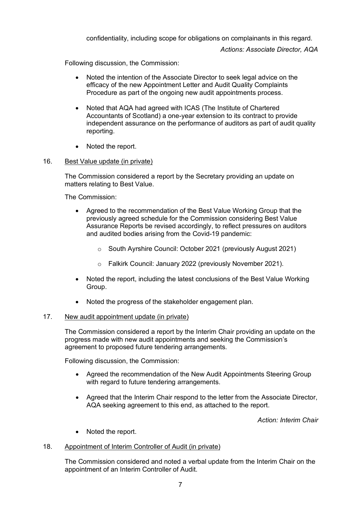confidentiality, including scope for obligations on complainants in this regard.

*Actions: Associate Director, AQA*

Following discussion, the Commission:

- Noted the intention of the Associate Director to seek legal advice on the efficacy of the new Appointment Letter and Audit Quality Complaints Procedure as part of the ongoing new audit appointments process.
- Noted that AQA had agreed with ICAS (The Institute of Chartered Accountants of Scotland) a one-year extension to its contract to provide independent assurance on the performance of auditors as part of audit quality reporting.
- Noted the report.
- 16. Best Value update (in private)

The Commission considered a report by the Secretary providing an update on matters relating to Best Value.

The Commission:

- Agreed to the recommendation of the Best Value Working Group that the previously agreed schedule for the Commission considering Best Value Assurance Reports be revised accordingly, to reflect pressures on auditors and audited bodies arising from the Covid-19 pandemic:
	- o South Ayrshire Council: October 2021 (previously August 2021)
	- o Falkirk Council: January 2022 (previously November 2021).
- Noted the report, including the latest conclusions of the Best Value Working Group.
- Noted the progress of the stakeholder engagement plan.

#### 17. New audit appointment update (in private)

The Commission considered a report by the Interim Chair providing an update on the progress made with new audit appointments and seeking the Commission's agreement to proposed future tendering arrangements.

Following discussion, the Commission:

- Agreed the recommendation of the New Audit Appointments Steering Group with regard to future tendering arrangements.
- Agreed that the Interim Chair respond to the letter from the Associate Director, AQA seeking agreement to this end, as attached to the report.

*Action: Interim Chair*

• Noted the report.

#### 18. Appointment of Interim Controller of Audit (in private)

The Commission considered and noted a verbal update from the Interim Chair on the appointment of an Interim Controller of Audit.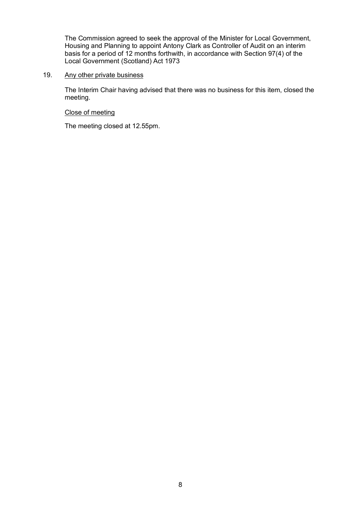The Commission agreed to seek the approval of the Minister for Local Government, Housing and Planning to appoint Antony Clark as Controller of Audit on an interim basis for a period of 12 months forthwith, in accordance with Section 97(4) of the Local Government (Scotland) Act 1973

#### 19. Any other private business

The Interim Chair having advised that there was no business for this item, closed the meeting.

### Close of meeting

The meeting closed at 12.55pm.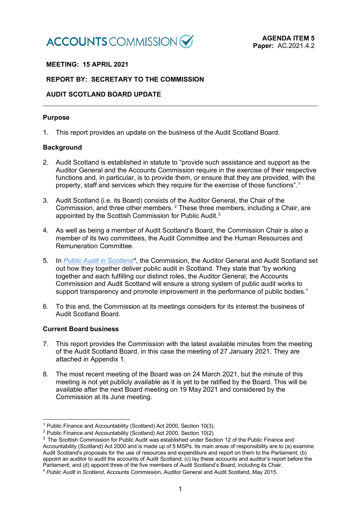

# **MEETING: 15 APRIL 2021**

### **REPORT BY: SECRETARY TO THE COMMISSION**

# **AUDIT SCOTLAND BOARD UPDATE**

#### **Purpose**

1. This report provides an update on the business of the Audit Scotland Board.

#### **Background**

- 2. Audit Scotland is established in statute to "provide such assistance and support as the Auditor General and the Accounts Commission require in the exercise of their respective functions and, in particular, is to provide them, or ensure that they are provided, with the property, staff and services which they require for the exercise of those functions".[1](#page-13-0)
- 3. Audit Scotland (i.e. its Board) consists of the Auditor General, the Chair of the Commission, and three other members. [2](#page-13-1) These three members, including a Chair, are appointed by the Scottish Commission for Public Audit.[3](#page-13-2)
- 4. As well as being a member of Audit Scotland's Board, the Commission Chair is also a member of its two committees, the Audit Committee and the Human Resources and Remuneration Committee.
- 5. In *[Public Audit in Scotland](http://www.audit-scotland.gov.uk/uploads/docs/report/2015/as_150511_public_audit_scotland.pdf)[4](#page-13-3)* , the Commission, the Auditor General and Audit Scotland set out how they together deliver public audit in Scotland. They state that "by working together and each fulfilling our distinct roles, the Auditor General, the Accounts Commission and Audit Scotland will ensure a strong system of public audit works to support transparency and promote improvement in the performance of public bodies."
- 6. To this end, the Commission at its meetings considers for its interest the business of Audit Scotland Board.

#### **Current Board business**

- 7. This report provides the Commission with the latest available minutes from the meeting of the Audit Scotland Board, in this case the meeting of 27 January 2021. They are attached in Appendix 1.
- 8. The most recent meeting of the Board was on 24 March 2021, but the minute of this meeting is not yet publicly available as it is yet to be ratified by the Board. This will be available after the next Board meeting on 19 May 2021 and considered by the Commission at its June meeting.

<span id="page-13-0"></span><sup>&</sup>lt;sup>1</sup> Public Finance and Accountability (Scotland) Act 2000, Section 10(3).

<span id="page-13-1"></span><sup>&</sup>lt;sup>2</sup> Public Finance and Accountability (Scotland) Act 2000, Section 10(2).

<span id="page-13-2"></span><sup>&</sup>lt;sup>3</sup> The Scottish Commission for Public Audit was established under Section 12 of the Public Finance and [Accountability \(Scotland\) Act 2000](http://www.legislation.gov.uk/asp/2000/1/contents) and is made up of 5 MSPs. Its main areas of responsibility are to (a) examine Audit Scotland's proposals for the use of resources and expenditure and report on them to the Parliament; (b) appoint an auditor to audit the accounts of Audit Scotland; (c) lay these accounts and auditor's report before the Parliament; and (d) appoint three of the five members of Audit Scotland's Board, including its Chair.

<span id="page-13-3"></span><sup>4</sup> *Public Audit in Scotland*, Accounts Commission, Auditor General and Audit Scotland, May 2015.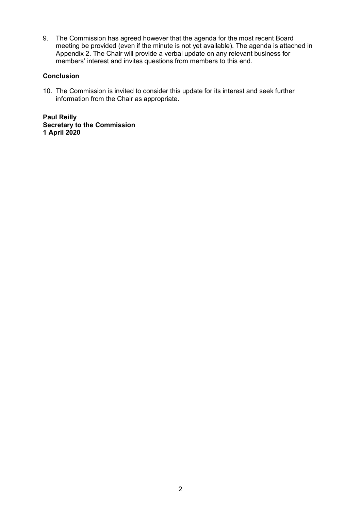9. The Commission has agreed however that the agenda for the most recent Board meeting be provided (even if the minute is not yet available). The agenda is attached in Appendix 2. The Chair will provide a verbal update on any relevant business for members' interest and invites questions from members to this end.

# **Conclusion**

10. The Commission is invited to consider this update for its interest and seek further information from the Chair as appropriate.

**Paul Reilly Secretary to the Commission 1 April 2020**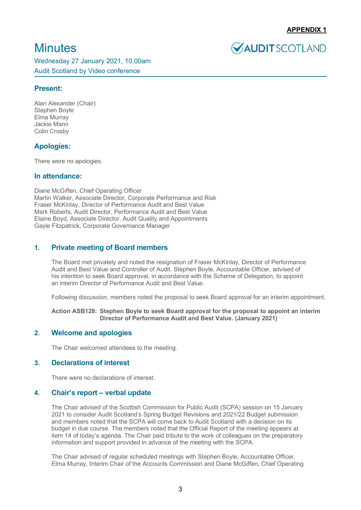# **Minutes**

**VAUDITSCOTLAND** 

Wednesday 27 January 2021, 10.00am Audit Scotland by Video conference

# **Present:**

Alan Alexander (Chair) Stephen Boyle Elma Murray Jackie Mann Colin Crosby

# **Apologies:**

There were no apologies.

#### **In attendance:**

Diane McGiffen, Chief Operating Officer Martin Walker, Associate Director, Corporate Performance and Risk Fraser McKinlay, Director of Performance Audit and Best Value Mark Roberts, Audit Director, Performance Audit and Best Value Elaine Boyd, Associate Director, Audit Quality and Appointments Gayle Fitzpatrick, Corporate Governance Manager

# **1. Private meeting of Board members**

The Board met privately and noted the resignation of Fraser McKinlay, Director of Performance Audit and Best Value and Controller of Audit. Stephen Boyle, Accountable Officer, advised of his intention to seek Board approval, in accordance with the Scheme of Delegation, to appoint an interim Director of Performance Audit and Best Value.

Following discussion, members noted the proposal to seek Board approval for an interim appointment.

#### **Action ASB128: Stephen Boyle to seek Board approval for the proposal to appoint an interim Director of Performance Audit and Best Value. (January 2021)**

# **2. Welcome and apologies**

The Chair welcomed attendees to the meeting.

# **3. Declarations of interest**

There were no declarations of interest.

#### **4. Chair's report – verbal update**

The Chair advised of the Scottish Commission for Public Audit (SCPA) session on 15 January 2021 to consider Audit Scotland's Spring Budget Revisions and 2021/22 Budget submission and members noted that the SCPA will come back to Audit Scotland with a decision on its budget in due course. The members noted that the Official Report of the meeting appears at item 14 of today's agenda. The Chair paid tribute to the work of colleagues on the preparatory information and support provided in advance of the meeting with the SCPA.

The Chair advised of regular scheduled meetings with Stephen Boyle, Accountable Officer, Elma Murray, Interim Chair of the Accounts Commission and Diane McGiffen, Chief Operating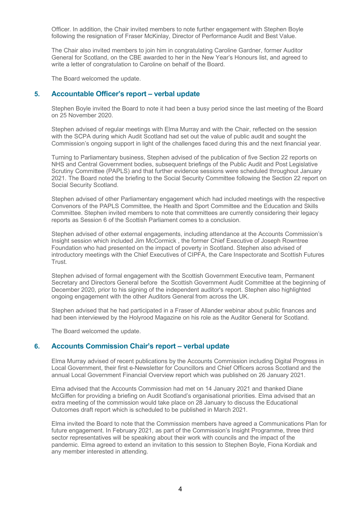Officer. In addition, the Chair invited members to note further engagement with Stephen Boyle following the resignation of Fraser McKinlay, Director of Performance Audit and Best Value.

The Chair also invited members to join him in congratulating Caroline Gardner, former Auditor General for Scotland, on the CBE awarded to her in the New Year's Honours list, and agreed to write a letter of congratulation to Caroline on behalf of the Board.

The Board welcomed the update.

#### **5. Accountable Officer's report – verbal update**

Stephen Boyle invited the Board to note it had been a busy period since the last meeting of the Board on 25 November 2020.

Stephen advised of regular meetings with Elma Murray and with the Chair, reflected on the session with the SCPA during which Audit Scotland had set out the value of public audit and sought the Commission's ongoing support in light of the challenges faced during this and the next financial year.

Turning to Parliamentary business, Stephen advised of the publication of five Section 22 reports on NHS and Central Government bodies, subsequent briefings of the Public Audit and Post Legislative Scrutiny Committee (PAPLS) and that further evidence sessions were scheduled throughout January 2021. The Board noted the briefing to the Social Security Committee following the Section 22 report on Social Security Scotland.

Stephen advised of other Parliamentary engagement which had included meetings with the respective Convenors of the PAPLS Committee, the Health and Sport Committee and the Education and Skills Committee. Stephen invited members to note that committees are currently considering their legacy reports as Session 6 of the Scottish Parliament comes to a conclusion.

Stephen advised of other external engagements, including attendance at the Accounts Commission's Insight session which included Jim McCormick , the former Chief Executive of Joseph Rowntree Foundation who had presented on the impact of poverty in Scotland. Stephen also advised of introductory meetings with the Chief Executives of CIPFA, the Care Inspectorate and Scottish Futures Trust.

Stephen advised of formal engagement with the Scottish Government Executive team, Permanent Secretary and Directors General before the Scottish Government Audit Committee at the beginning of December 2020, prior to his signing of the independent auditor's report. Stephen also highlighted ongoing engagement with the other Auditors General from across the UK.

Stephen advised that he had participated in a Fraser of Allander webinar about public finances and had been interviewed by the Holyrood Magazine on his role as the Auditor General for Scotland.

The Board welcomed the update.

#### **6. Accounts Commission Chair's report – verbal update**

Elma Murray advised of recent publications by the Accounts Commission including Digital Progress in Local Government, their first e-Newsletter for Councillors and Chief Officers across Scotland and the annual Local Government Financial Overview report which was published on 26 January 2021.

Elma advised that the Accounts Commission had met on 14 January 2021 and thanked Diane McGiffen for providing a briefing on Audit Scotland's organisational priorities. Elma advised that an extra meeting of the commission would take place on 28 January to discuss the Educational Outcomes draft report which is scheduled to be published in March 2021.

Elma invited the Board to note that the Commission members have agreed a Communications Plan for future engagement. In February 2021, as part of the Commission's Insight Programme, three third sector representatives will be speaking about their work with councils and the impact of the pandemic. Elma agreed to extend an invitation to this session to Stephen Boyle, Fiona Kordiak and any member interested in attending.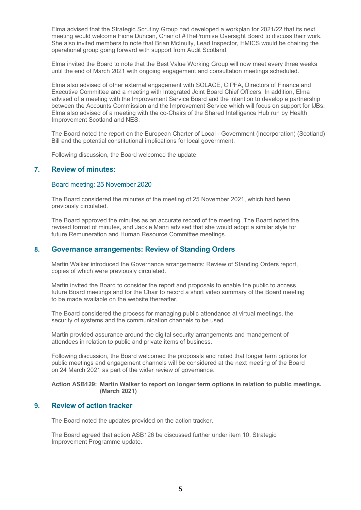Elma advised that the Strategic Scrutiny Group had developed a workplan for 2021/22 that its next meeting would welcome Fiona Duncan, Chair of #ThePromise Oversight Board to discuss their work. She also invited members to note that Brian McInulty, Lead Inspector, HMICS would be chairing the operational group going forward with support from Audit Scotland.

Elma invited the Board to note that the Best Value Working Group will now meet every three weeks until the end of March 2021 with ongoing engagement and consultation meetings scheduled.

Elma also advised of other external engagement with SOLACE, CIPFA, Directors of Finance and Executive Committee and a meeting with Integrated Joint Board Chief Officers. In addition, Elma advised of a meeting with the Improvement Service Board and the intention to develop a partnership between the Accounts Commission and the Improvement Service which will focus on support for IJBs. Elma also advised of a meeting with the co-Chairs of the Shared Intelligence Hub run by Health Improvement Scotland and NES.

The Board noted the report on the European Charter of Local - Government (Incorporation) (Scotland) Bill and the potential constitutional implications for local government.

Following discussion, the Board welcomed the update.

# **7. Review of minutes:**

#### Board meeting: 25 November 2020

The Board considered the minutes of the meeting of 25 November 2021, which had been previously circulated.

The Board approved the minutes as an accurate record of the meeting. The Board noted the revised format of minutes, and Jackie Mann advised that she would adopt a similar style for future Remuneration and Human Resource Committee meetings.

#### **8. Governance arrangements: Review of Standing Orders**

Martin Walker introduced the Governance arrangements: Review of Standing Orders report, copies of which were previously circulated.

Martin invited the Board to consider the report and proposals to enable the public to access future Board meetings and for the Chair to record a short video summary of the Board meeting to be made available on the website thereafter.

The Board considered the process for managing public attendance at virtual meetings, the security of systems and the communication channels to be used.

Martin provided assurance around the digital security arrangements and management of attendees in relation to public and private items of business.

Following discussion, the Board welcomed the proposals and noted that longer term options for public meetings and engagement channels will be considered at the next meeting of the Board on 24 March 2021 as part of the wider review of governance.

#### **Action ASB129: Martin Walker to report on longer term options in relation to public meetings. (March 2021)**

#### **9. Review of action tracker**

The Board noted the updates provided on the action tracker.

The Board agreed that action ASB126 be discussed further under item 10, Strategic Improvement Programme update.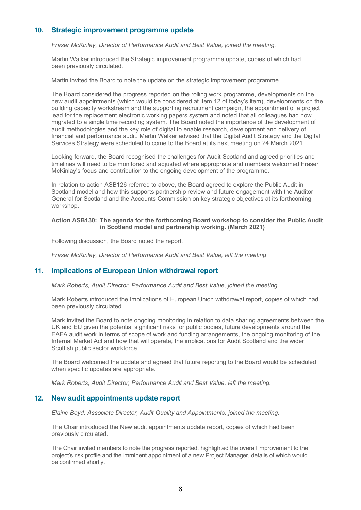# **10. Strategic improvement programme update**

*Fraser McKinlay, Director of Performance Audit and Best Value, joined the meeting.*

Martin Walker introduced the Strategic improvement programme update, copies of which had been previously circulated.

Martin invited the Board to note the update on the strategic improvement programme.

The Board considered the progress reported on the rolling work programme, developments on the new audit appointments (which would be considered at item 12 of today's item), developments on the building capacity workstream and the supporting recruitment campaign, the appointment of a project lead for the replacement electronic working papers system and noted that all colleagues had now migrated to a single time recording system. The Board noted the importance of the development of audit methodologies and the key role of digital to enable research, development and delivery of financial and performance audit. Martin Walker advised that the Digital Audit Strategy and the Digital Services Strategy were scheduled to come to the Board at its next meeting on 24 March 2021.

Looking forward, the Board recognised the challenges for Audit Scotland and agreed priorities and timelines will need to be monitored and adjusted where appropriate and members welcomed Fraser McKinlay's focus and contribution to the ongoing development of the programme.

In relation to action ASB126 referred to above, the Board agreed to explore the Public Audit in Scotland model and how this supports partnership review and future engagement with the Auditor General for Scotland and the Accounts Commission on key strategic objectives at its forthcoming workshop.

#### **Action ASB130: The agenda for the forthcoming Board workshop to consider the Public Audit in Scotland model and partnership working. (March 2021)**

Following discussion, the Board noted the report.

*Fraser McKinlay, Director of Performance Audit and Best Value, left the meeting*

#### **11. Implications of European Union withdrawal report**

*Mark Roberts, Audit Director, Performance Audit and Best Value, joined the meeting.*

Mark Roberts introduced the Implications of European Union withdrawal report, copies of which had been previously circulated.

Mark invited the Board to note ongoing monitoring in relation to data sharing agreements between the UK and EU given the potential significant risks for public bodies, future developments around the EAFA audit work in terms of scope of work and funding arrangements, the ongoing monitoring of the Internal Market Act and how that will operate, the implications for Audit Scotland and the wider Scottish public sector workforce.

The Board welcomed the update and agreed that future reporting to the Board would be scheduled when specific updates are appropriate.

*Mark Roberts, Audit Director, Performance Audit and Best Value, left the meeting.*

#### **12. New audit appointments update report**

*Elaine Boyd, Associate Director, Audit Quality and Appointments, joined the meeting.*

The Chair introduced the New audit appointments update report, copies of which had been previously circulated.

The Chair invited members to note the progress reported, highlighted the overall improvement to the project's risk profile and the imminent appointment of a new Project Manager, details of which would be confirmed shortly.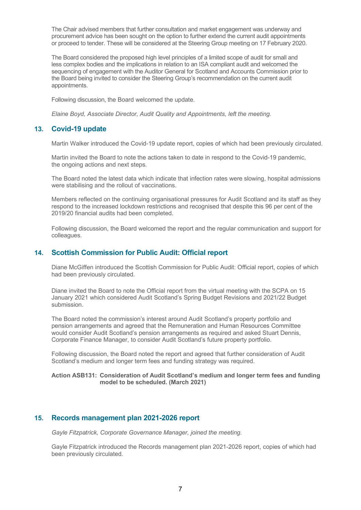The Chair advised members that further consultation and market engagement was underway and procurement advice has been sought on the option to further extend the current audit appointments or proceed to tender. These will be considered at the Steering Group meeting on 17 February 2020.

The Board considered the proposed high level principles of a limited scope of audit for small and less complex bodies and the implications in relation to an ISA compliant audit and welcomed the sequencing of engagement with the Auditor General for Scotland and Accounts Commission prior to the Board being invited to consider the Steering Group's recommendation on the current audit appointments.

Following discussion, the Board welcomed the update.

*Elaine Boyd, Associate Director, Audit Quality and Appointments, left the meeting.*

#### **13. Covid-19 update**

Martin Walker introduced the Covid-19 update report, copies of which had been previously circulated.

Martin invited the Board to note the actions taken to date in respond to the Covid-19 pandemic, the ongoing actions and next steps.

The Board noted the latest data which indicate that infection rates were slowing, hospital admissions were stabilising and the rollout of vaccinations.

Members reflected on the continuing organisational pressures for Audit Scotland and its staff as they respond to the increased lockdown restrictions and recognised that despite this 96 per cent of the 2019/20 financial audits had been completed.

Following discussion, the Board welcomed the report and the regular communication and support for colleagues.

#### **14. Scottish Commission for Public Audit: Official report**

Diane McGiffen introduced the Scottish Commission for Public Audit: Official report, copies of which had been previously circulated.

Diane invited the Board to note the Official report from the virtual meeting with the SCPA on 15 January 2021 which considered Audit Scotland's Spring Budget Revisions and 2021/22 Budget submission.

The Board noted the commission's interest around Audit Scotland's property portfolio and pension arrangements and agreed that the Remuneration and Human Resources Committee would consider Audit Scotland's pension arrangements as required and asked Stuart Dennis, Corporate Finance Manager, to consider Audit Scotland's future property portfolio.

Following discussion, the Board noted the report and agreed that further consideration of Audit Scotland's medium and longer term fees and funding strategy was required.

#### **Action ASB131: Consideration of Audit Scotland's medium and longer term fees and funding model to be scheduled. (March 2021)**

# **15. Records management plan 2021-2026 report**

*Gayle Fitzpatrick, Corporate Governance Manager, joined the meeting.*

Gayle Fitzpatrick introduced the Records management plan 2021-2026 report, copies of which had been previously circulated.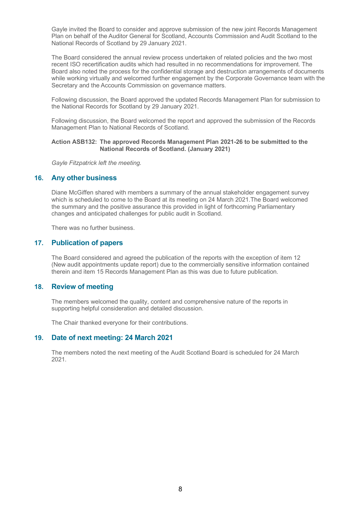Gayle invited the Board to consider and approve submission of the new joint Records Management Plan on behalf of the Auditor General for Scotland, Accounts Commission and Audit Scotland to the National Records of Scotland by 29 January 2021.

The Board considered the annual review process undertaken of related policies and the two most recent ISO recertification audits which had resulted in no recommendations for improvement. The Board also noted the process for the confidential storage and destruction arrangements of documents while working virtually and welcomed further engagement by the Corporate Governance team with the Secretary and the Accounts Commission on governance matters.

Following discussion, the Board approved the updated Records Management Plan for submission to the National Records for Scotland by 29 January 2021.

Following discussion, the Board welcomed the report and approved the submission of the Records Management Plan to National Records of Scotland.

#### **Action ASB132: The approved Records Management Plan 2021-26 to be submitted to the National Records of Scotland. (January 2021)**

*Gayle Fitzpatrick left the meeting.*

#### **16. Any other business**

Diane McGiffen shared with members a summary of the annual stakeholder engagement survey which is scheduled to come to the Board at its meeting on 24 March 2021.The Board welcomed the summary and the positive assurance this provided in light of forthcoming Parliamentary changes and anticipated challenges for public audit in Scotland.

There was no further business.

#### **17. Publication of papers**

The Board considered and agreed the publication of the reports with the exception of item 12 (New audit appointments update report) due to the commercially sensitive information contained therein and item 15 Records Management Plan as this was due to future publication.

# **18. Review of meeting**

The members welcomed the quality, content and comprehensive nature of the reports in supporting helpful consideration and detailed discussion.

The Chair thanked everyone for their contributions.

#### **19. Date of next meeting: 24 March 2021**

The members noted the next meeting of the Audit Scotland Board is scheduled for 24 March 2021.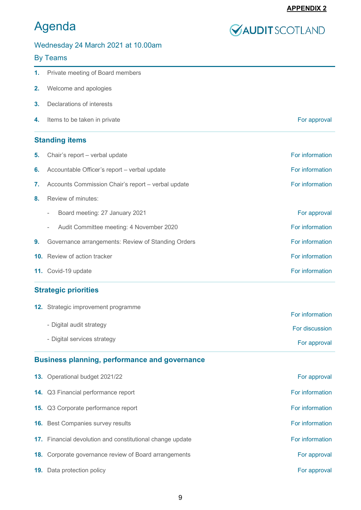# **APPENDIX 2**

# Agenda

# **VAUDIT** SCOTLAND

# Wednesday 24 March 2021 at 10.00am

# By Teams

- **1.** Private meeting of Board members
- **2.** Welcome and apologies
- **3.** Declarations of interests
- **4.** Items to be taken in private **For approval**

# **Standing items**

|                | <b>5.</b> Chair's report – verbal update                             | For information |
|----------------|----------------------------------------------------------------------|-----------------|
| 6.             | Accountable Officer's report – verbal update                         | For information |
| 7.             | Accounts Commission Chair's report - verbal update                   | For information |
| $\mathbf{8}$ . | Review of minutes:                                                   |                 |
|                | Board meeting: 27 January 2021<br>$\overline{\phantom{a}}$           | For approval    |
|                | Audit Committee meeting: 4 November 2020<br>$\overline{\phantom{0}}$ | For information |
| 9.             | Governance arrangements: Review of Standing Orders                   | For information |
|                | <b>10.</b> Review of action tracker                                  | For information |
|                | 11. Covid-19 update                                                  | For information |

# **Strategic priorities**

| <b>12.</b> Strategic improvement programme |                 |
|--------------------------------------------|-----------------|
|                                            | For information |
| - Digital audit strategy                   | For discussion  |
| - Digital services strategy                | For approval    |

# **Business planning, performance and governance**

| <b>13.</b> Operational budget 2021/22                            | For approval    |
|------------------------------------------------------------------|-----------------|
| <b>14.</b> Q3 Financial performance report                       | For information |
| <b>15.</b> Q3 Corporate performance report                       | For information |
| <b>16.</b> Best Companies survey results                         | For information |
| <b>17.</b> Financial devolution and constitutional change update | For information |
| <b>18.</b> Corporate governance review of Board arrangements     | For approval    |
| <b>19.</b> Data protection policy                                | For approval    |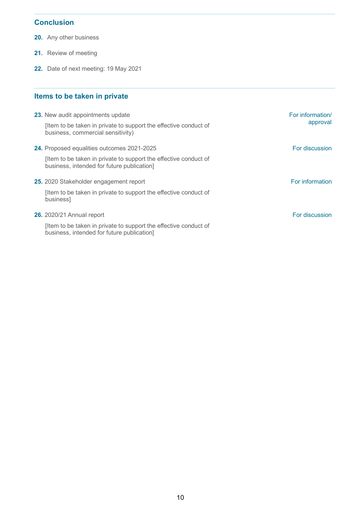# **Conclusion**

- **20.** Any other business
- **21.** Review of meeting
- **22.** Date of next meeting: 19 May 2021

# **Items to be taken in private**

| 23. New audit appointments update                                                                             | For information/<br>approval |
|---------------------------------------------------------------------------------------------------------------|------------------------------|
| Iltem to be taken in private to support the effective conduct of<br>business, commercial sensitivity)         |                              |
| <b>24.</b> Proposed equalities outcomes 2021-2025                                                             | For discussion               |
| Item to be taken in private to support the effective conduct of<br>business, intended for future publication] |                              |
| 25. 2020 Stakeholder engagement report                                                                        | For information              |
| Item to be taken in private to support the effective conduct of<br>business]                                  |                              |
| <b>26.</b> 2020/21 Annual report                                                                              | For discussion               |
| Item to be taken in private to support the effective conduct of<br>business, intended for future publication] |                              |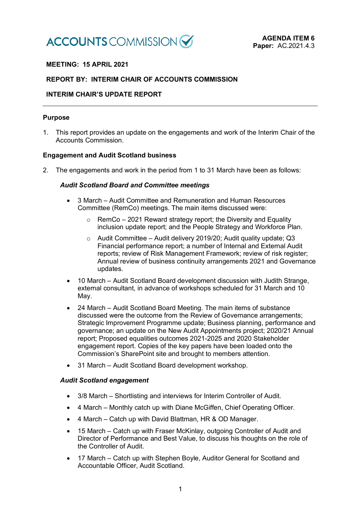

# **MEETING: 15 APRIL 2021**

# **REPORT BY: INTERIM CHAIR OF ACCOUNTS COMMISSION**

# **INTERIM CHAIR'S UPDATE REPORT**

#### **Purpose**

1. This report provides an update on the engagements and work of the Interim Chair of the Accounts Commission.

#### **Engagement and Audit Scotland business**

2. The engagements and work in the period from 1 to 31 March have been as follows:

#### *Audit Scotland Board and Committee meetings*

- 3 March Audit Committee and Remuneration and Human Resources Committee (RemCo) meetings. The main items discussed were:
	- $\circ$  RemCo 2021 Reward strategy report; the Diversity and Equality inclusion update report; and the People Strategy and Workforce Plan.
	- $\circ$  Audit Committee Audit delivery 2019/20; Audit quality update; Q3 Financial performance report; a number of Internal and External Audit reports; review of Risk Management Framework; review of risk register; Annual review of business continuity arrangements 2021 and Governance updates.
- 10 March Audit Scotland Board development discussion with Judith Strange, external consultant, in advance of workshops scheduled for 31 March and 10 May.
- 24 March Audit Scotland Board Meeting. The main items of substance discussed were the outcome from the Review of Governance arrangements; Strategic Improvement Programme update; Business planning, performance and governance; an update on the New Audit Appointments project; 2020/21 Annual report; Proposed equalities outcomes 2021-2025 and 2020 Stakeholder engagement report. Copies of the key papers have been loaded onto the Commission's SharePoint site and brought to members attention.
- 31 March Audit Scotland Board development workshop.

#### *Audit Scotland engagement*

- 3/8 March Shortlisting and interviews for Interim Controller of Audit.
- 4 March Monthly catch up with Diane McGiffen, Chief Operating Officer.
- 4 March Catch up with David Blattman, HR & OD Manager.
- 15 March Catch up with Fraser McKinlay, outgoing Controller of Audit and Director of Performance and Best Value, to discuss his thoughts on the role of the Controller of Audit.
- 17 March Catch up with Stephen Boyle, Auditor General for Scotland and Accountable Officer, Audit Scotland.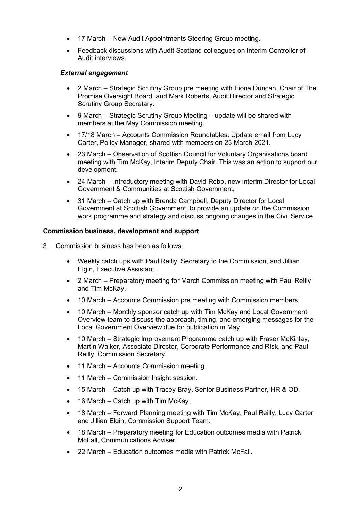- 17 March New Audit Appointments Steering Group meeting.
- Feedback discussions with Audit Scotland colleagues on Interim Controller of Audit interviews.

# *External engagement*

- 2 March Strategic Scrutiny Group pre meeting with Fiona Duncan, Chair of The Promise Oversight Board, and Mark Roberts, Audit Director and Strategic Scrutiny Group Secretary.
- 9 March Strategic Scrutiny Group Meeting update will be shared with members at the May Commission meeting.
- 17/18 March Accounts Commission Roundtables. Update email from Lucy Carter, Policy Manager, shared with members on 23 March 2021.
- 23 March Observation of Scottish Council for Voluntary Organisations board meeting with Tim McKay, Interim Deputy Chair. This was an action to support our development.
- 24 March Introductory meeting with David Robb, new Interim Director for Local Government & Communities at Scottish Government.
- 31 March Catch up with Brenda Campbell, Deputy Director for Local Government at Scottish Government, to provide an update on the Commission work programme and strategy and discuss ongoing changes in the Civil Service.

# **Commission business, development and support**

- 3. Commission business has been as follows:
	- Weekly catch ups with Paul Reilly, Secretary to the Commission, and Jillian Elgin, Executive Assistant.
	- 2 March Preparatory meeting for March Commission meeting with Paul Reilly and Tim McKay.
	- 10 March Accounts Commission pre meeting with Commission members.
	- 10 March Monthly sponsor catch up with Tim McKay and Local Government Overview team to discuss the approach, timing, and emerging messages for the Local Government Overview due for publication in May.
	- 10 March Strategic Improvement Programme catch up with Fraser McKinlay, Martin Walker, Associate Director, Corporate Performance and Risk, and Paul Reilly, Commission Secretary.
	- 11 March Accounts Commission meeting.
	- 11 March Commission Insight session.
	- 15 March Catch up with Tracey Bray, Senior Business Partner, HR & OD.
	- 16 March Catch up with Tim McKay.
	- 18 March Forward Planning meeting with Tim McKay, Paul Reilly, Lucy Carter and Jillian Elgin, Commission Support Team.
	- 18 March Preparatory meeting for Education outcomes media with Patrick McFall, Communications Adviser.
	- 22 March Education outcomes media with Patrick McFall.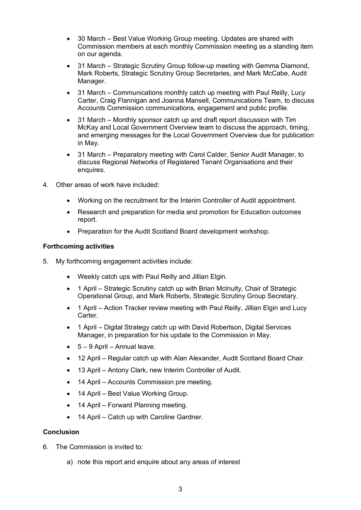- 30 March Best Value Working Group meeting. Updates are shared with Commission members at each monthly Commission meeting as a standing item on our agenda.
- 31 March Strategic Scrutiny Group follow-up meeting with Gemma Diamond, Mark Roberts, Strategic Scrutiny Group Secretaries, and Mark McCabe, Audit Manager.
- 31 March Communications monthly catch up meeting with Paul Reilly, Lucy Carter, Craig Flannigan and Joanna Mansell, Communications Team, to discuss Accounts Commission communications, engagement and public profile.
- 31 March Monthly sponsor catch up and draft report discussion with Tim McKay and Local Government Overview team to discuss the approach, timing, and emerging messages for the Local Government Overview due for publication in May.
- 31 March Preparatory meeting with Carol Calder, Senior Audit Manager, to discuss Regional Networks of Registered Tenant Organisations and their enquires.
- 4. Other areas of work have included:
	- Working on the recruitment for the Interim Controller of Audit appointment.
	- Research and preparation for media and promotion for Education outcomes report.
	- Preparation for the Audit Scotland Board development workshop.

# **Forthcoming activities**

- 5. My forthcoming engagement activities include:
	- Weekly catch ups with Paul Reilly and Jillian Elgin.
	- 1 April Strategic Scrutiny catch up with Brian McInulty, Chair of Strategic Operational Group, and Mark Roberts, Strategic Scrutiny Group Secretary.
	- 1 April Action Tracker review meeting with Paul Reilly, Jillian Elgin and Lucy Carter.
	- 1 April Digital Strategy catch up with David Robertson, Digital Services Manager, in preparation for his update to the Commission in May.
	- $\bullet$  5 9 April Annual leave.
	- 12 April Regular catch up with Alan Alexander, Audit Scotland Board Chair.
	- 13 April Antony Clark, new Interim Controller of Audit.
	- 14 April Accounts Commission pre meeting.
	- 14 April Best Value Working Group.
	- 14 April Forward Planning meeting.
	- 14 April Catch up with Caroline Gardner.

# **Conclusion**

- 6. The Commission is invited to:
	- a) note this report and enquire about any areas of interest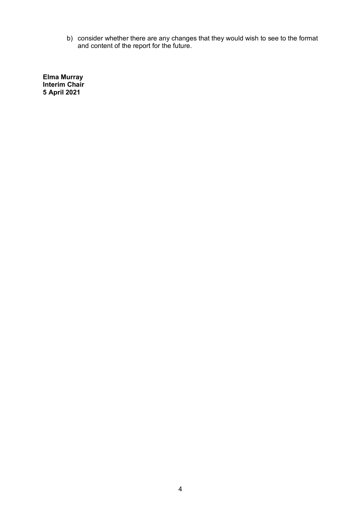b) consider whether there are any changes that they would wish to see to the format and content of the report for the future.

**Elma Murray Interim Chair 5 April 2021**